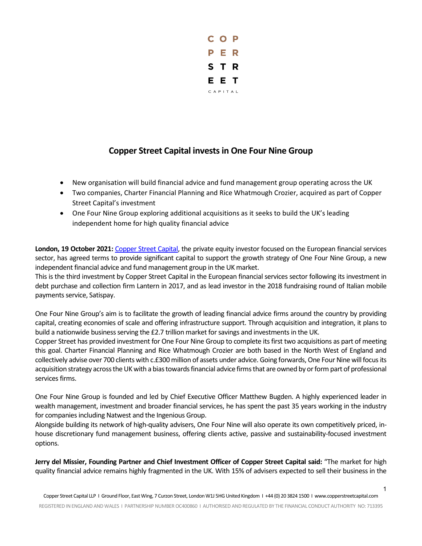

## **Copper Street Capital invests in One Four Nine Group**

- New organisation will build financial advice and fund management group operating across the UK
- Two companies, Charter Financial Planning and Rice Whatmough Crozier, acquired as part of Copper Street Capital's investment
- One Four Nine Group exploring additional acquisitions as it seeks to build the UK's leading independent home for high quality financial advice

**London, 19 October 2021:** [Copper Street Capital,](https://copperstreetcapital.com/) the private equity investor focused on the European financial services sector, has agreed terms to provide significant capital to support the growth strategy of One Four Nine Group, a new independent financial advice and fund management group in the UK market.

This is the third investment by Copper Street Capital in the European financial services sector following its investment in debt purchase and collection firm Lantern in 2017, and as lead investor in the 2018 fundraising round of Italian mobile payments service, Satispay.

One Four Nine Group's aim is to facilitate the growth of leading financial advice firms around the country by providing capital, creating economies of scale and offering infrastructure support. Through acquisition and integration, it plans to build a nationwide business serving the £2.7 trillion market for savings and investments in the UK.

Copper Street has provided investment for One Four Nine Group to complete its first two acquisitions as part of meeting this goal. Charter Financial Planning and Rice Whatmough Crozier are both based in the North West of England and collectively advise over 700 clients with c.£300 million of assets under advice. Going forwards, One Four Nine will focus its acquisition strategy across the UK with a bias towards financial advice firms that are owned by or form part of professional services firms.

One Four Nine Group is founded and led by Chief Executive Officer Matthew Bugden. A highly experienced leader in wealth management, investment and broader financial services, he has spent the past 35 years working in the industry for companies including Natwest and the Ingenious Group.

Alongside building its network of high-quality advisers, One Four Nine will also operate its own competitively priced, inhouse discretionary fund management business, offering clients active, passive and sustainability-focused investment options.

**Jerry del Missier, Founding Partner and Chief Investment Officer of Copper Street Capital said:** "The market for high quality financial advice remains highly fragmented in the UK. With 15% of advisers expected to sell their business in the

1